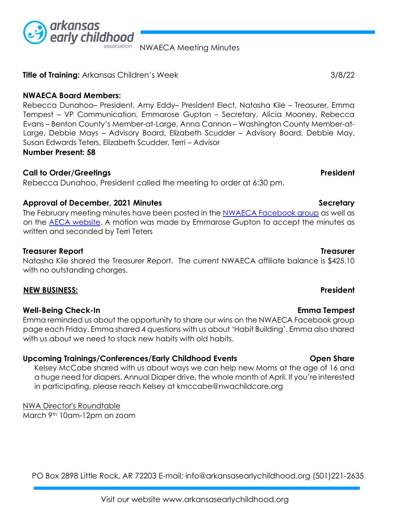

**Title of Training:** Arkansas Children's Week3/8/22

**NWAECA Board Members:** 

Rebecca Dunahoo– President, Amy Eddy– President Elect, Natasha Kile – Treasurer, Emma Tempest – VP Communication, Emmarose Gupton – Secretary, Alicia Mooney, Rebecca Evans – Benton County's Member-at-Large, Anna Cannon – Washington County Member-at-Large, Debbie Mays – Advisory Board, Elizabeth Scudder – Advisory Board, Debbie May, Susan Edwards Teters, Elizabeth Scudder, Terri – Advisor **Number Present: 58**

NWAECA Meeting Minutes

## **Call to Order/Greetings President**

Rebecca Dunahoo, President called the meeting to order at 6:30 pm.

# Approval of December, 2021 Minutes **Secretary and Secretary Secretary** 3.

The Febru[a](https://www.facebook.com/groups/nwaeca)ry meeting minutes have been posted in the **NWAECA Facebook group** as well as on the [AECA website.](http://www.arkansasearlychildhood.org/) A motion was made by Emmarose Gupton to accept the minutes as written and seconded by Terri Teters

## **Treasurer Report Treasurer**

Natasha Kile shared the Treasurer Report. The current NWAECA affiliate balance is \$425.10 with no outstanding charges.

### **NEW BUSINESS: President**

### **Well-Being Check-In Emma Tempest**

Emma reminded us about the opportunity to share our wins on the NWAECA Facebook group page each Friday. Emma shared 4 questions with us about 'Habit Building'. Emma also shared with us about we need to stack new habits with old habits.

# **Upcoming Trainings/Conferences/Early Childhood Events Open Share**

Kelsey McCabe shared with us about ways we can help new Moms at the age of 16 and a huge need for diapers. Annual Diaper drive, the whole month of April. If you're interested in participating, please reach Kelsey at kmccabe@nwachildcare.org

NWA Director's Roundtable March 9th 10am-12pm on zoom

PO Box 2898 Little Rock, AR 72203 E-mail: info@arkansasearlychildhood.org (501)221-2635